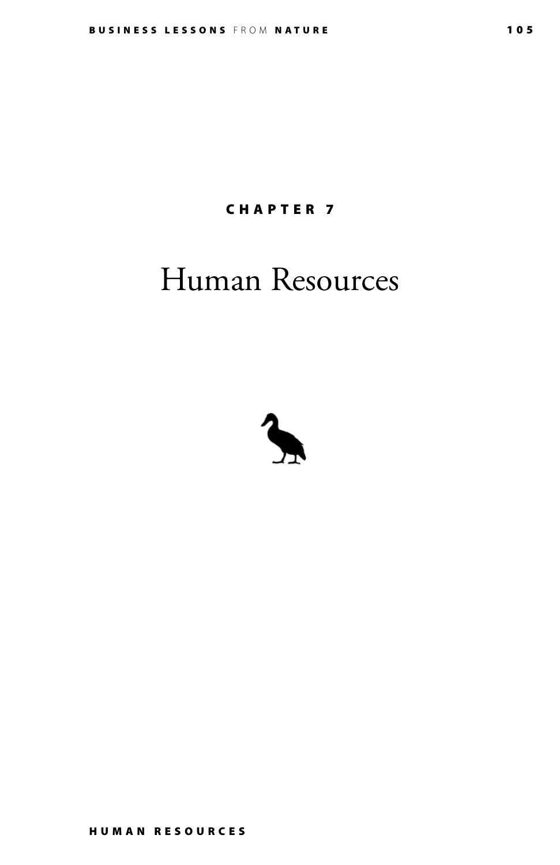## CHAPTER 7

## Human Resources

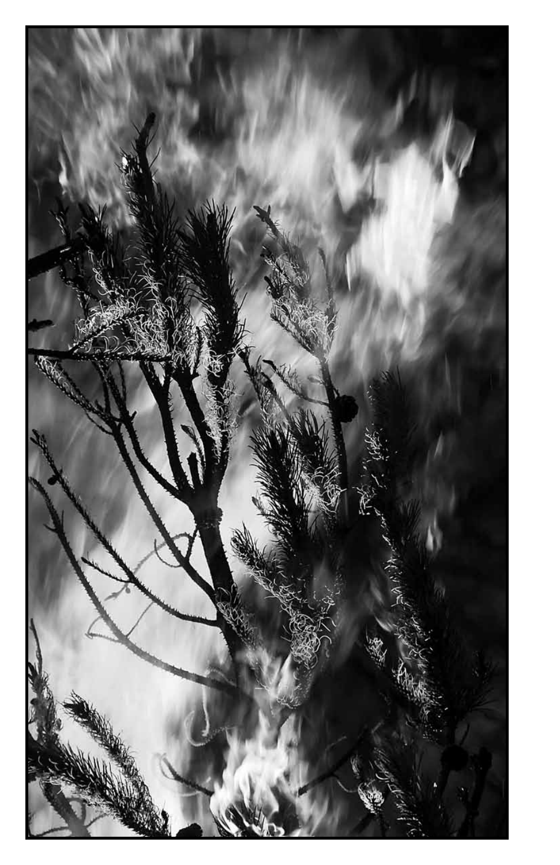